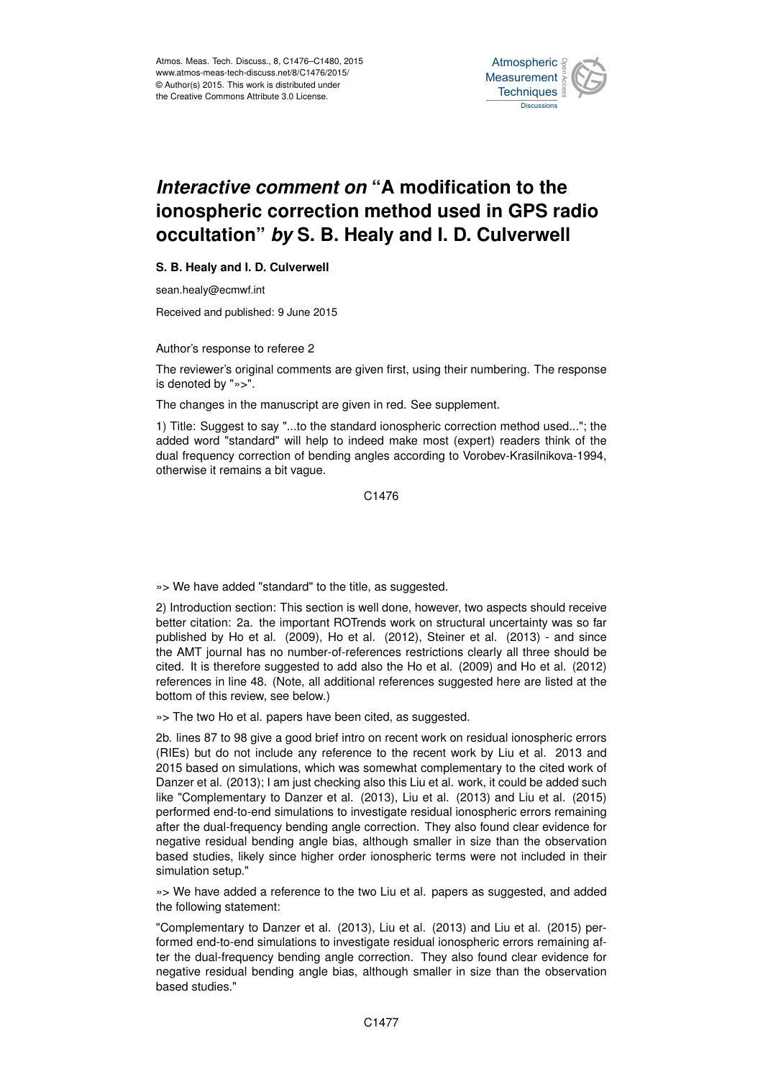

## *Interactive comment on* **"A modification to the ionospheric correction method used in GPS radio occultation"** *by* **S. B. Healy and I. D. Culverwell**

## **S. B. Healy and I. D. Culverwell**

sean.healy@ecmwf.int

Received and published: 9 June 2015

Author's response to referee 2

The reviewer's original comments are given first, using their numbering. The response is denoted by "»>".

The changes in the manuscript are given in red. See supplement.

1) Title: Suggest to say "...to the standard ionospheric correction method used..."; the added word "standard" will help to indeed make most (expert) readers think of the dual frequency correction of bending angles according to Vorobev-Krasilnikova-1994, otherwise it remains a bit vague.

C1476

»> We have added "standard" to the title, as suggested.

2) Introduction section: This section is well done, however, two aspects should receive better citation: 2a. the important ROTrends work on structural uncertainty was so far published by Ho et al. (2009), Ho et al. (2012), Steiner et al. (2013) - and since the AMT journal has no number-of-references restrictions clearly all three should be cited. It is therefore suggested to add also the Ho et al. (2009) and Ho et al. (2012) references in line 48. (Note, all additional references suggested here are listed at the bottom of this review, see below.)

»> The two Ho et al. papers have been cited, as suggested.

2b. lines 87 to 98 give a good brief intro on recent work on residual ionospheric errors (RIEs) but do not include any reference to the recent work by Liu et al. 2013 and 2015 based on simulations, which was somewhat complementary to the cited work of Danzer et al. (2013); I am just checking also this Liu et al. work, it could be added such like "Complementary to Danzer et al. (2013), Liu et al. (2013) and Liu et al. (2015) performed end-to-end simulations to investigate residual ionospheric errors remaining after the dual-frequency bending angle correction. They also found clear evidence for negative residual bending angle bias, although smaller in size than the observation based studies, likely since higher order ionospheric terms were not included in their simulation setup."

»> We have added a reference to the two Liu et al. papers as suggested, and added the following statement:

"Complementary to Danzer et al. (2013), Liu et al. (2013) and Liu et al. (2015) performed end-to-end simulations to investigate residual ionospheric errors remaining after the dual-frequency bending angle correction. They also found clear evidence for negative residual bending angle bias, although smaller in size than the observation based studies."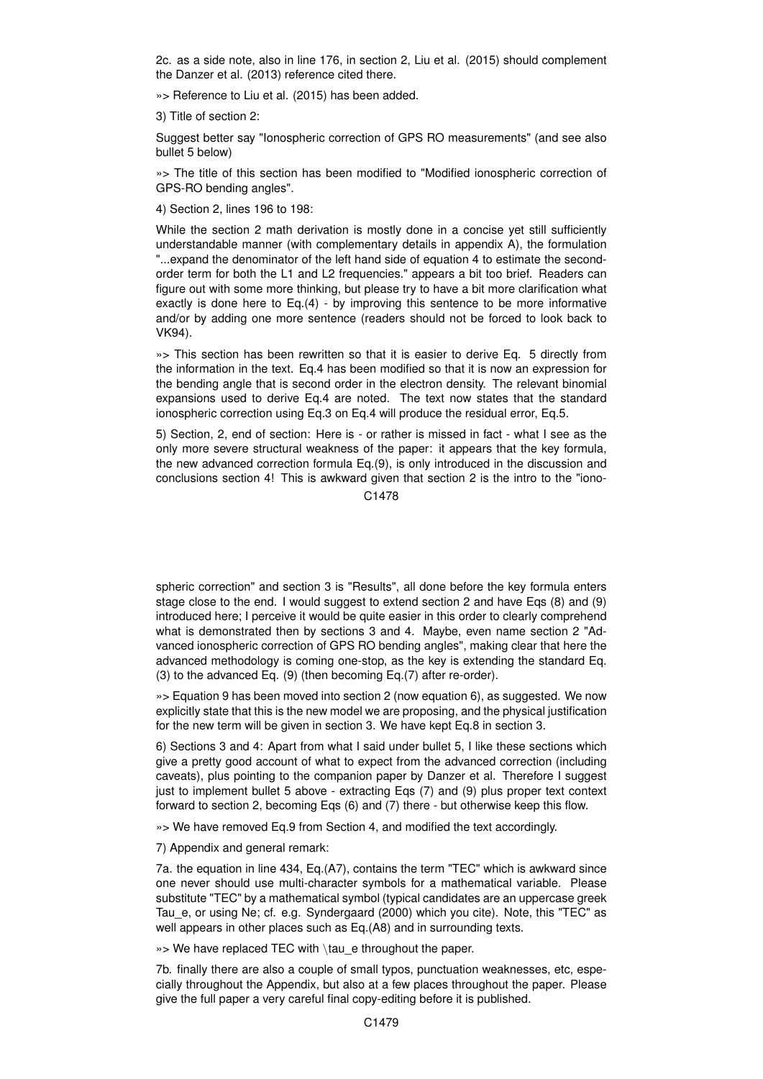2c. as a side note, also in line 176, in section 2, Liu et al. (2015) should complement the Danzer et al. (2013) reference cited there.

»> Reference to Liu et al. (2015) has been added.

3) Title of section 2:

Suggest better say "Ionospheric correction of GPS RO measurements" (and see also bullet 5 below)

»> The title of this section has been modified to "Modified ionospheric correction of GPS-RO bending angles".

4) Section 2, lines 196 to 198:

While the section 2 math derivation is mostly done in a concise yet still sufficiently understandable manner (with complementary details in appendix A), the formulation "...expand the denominator of the left hand side of equation 4 to estimate the secondorder term for both the L1 and L2 frequencies." appears a bit too brief. Readers can figure out with some more thinking, but please try to have a bit more clarification what exactly is done here to Eq.(4) - by improving this sentence to be more informative and/or by adding one more sentence (readers should not be forced to look back to VK94).

»> This section has been rewritten so that it is easier to derive Eq. 5 directly from the information in the text. Eq.4 has been modified so that it is now an expression for the bending angle that is second order in the electron density. The relevant binomial expansions used to derive Eq.4 are noted. The text now states that the standard ionospheric correction using Eq.3 on Eq.4 will produce the residual error, Eq.5.

5) Section, 2, end of section: Here is - or rather is missed in fact - what I see as the only more severe structural weakness of the paper: it appears that the key formula, the new advanced correction formula Eq.(9), is only introduced in the discussion and conclusions section 4! This is awkward given that section 2 is the intro to the "iono-

C<sub>1478</sub>

spheric correction" and section 3 is "Results", all done before the key formula enters stage close to the end. I would suggest to extend section 2 and have Eqs (8) and (9) introduced here; I perceive it would be quite easier in this order to clearly comprehend what is demonstrated then by sections 3 and 4. Maybe, even name section 2 "Advanced ionospheric correction of GPS RO bending angles", making clear that here the advanced methodology is coming one-stop, as the key is extending the standard Eq. (3) to the advanced Eq. (9) (then becoming Eq.(7) after re-order).

»> Equation 9 has been moved into section 2 (now equation 6), as suggested. We now explicitly state that this is the new model we are proposing, and the physical justification for the new term will be given in section 3. We have kept Eq.8 in section 3.

6) Sections 3 and 4: Apart from what I said under bullet 5, I like these sections which give a pretty good account of what to expect from the advanced correction (including caveats), plus pointing to the companion paper by Danzer et al. Therefore I suggest just to implement bullet 5 above - extracting Eqs (7) and (9) plus proper text context forward to section 2, becoming Eqs (6) and (7) there - but otherwise keep this flow.

»> We have removed Eq.9 from Section 4, and modified the text accordingly.

7) Appendix and general remark:

7a. the equation in line 434, Eq.(A7), contains the term "TEC" which is awkward since one never should use multi-character symbols for a mathematical variable. Please substitute "TEC" by a mathematical symbol (typical candidates are an uppercase greek Tau\_e, or using Ne; cf. e.g. Syndergaard (2000) which you cite). Note, this "TEC" as well appears in other places such as Eq.(A8) and in surrounding texts.

»> We have replaced TEC with \tau e throughout the paper.

7b. finally there are also a couple of small typos, punctuation weaknesses, etc, especially throughout the Appendix, but also at a few places throughout the paper. Please give the full paper a very careful final copy-editing before it is published.